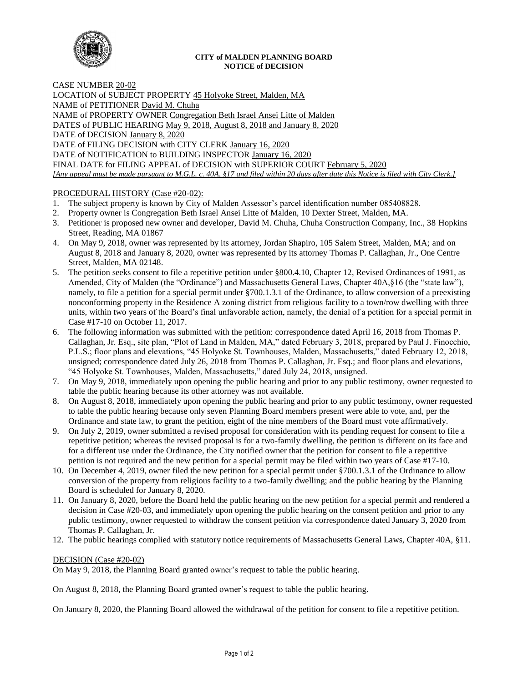

## **CITY of MALDEN PLANNING BOARD NOTICE of DECISION**

CASE NUMBER 20-02

LOCATION of SUBJECT PROPERTY 45 Holyoke Street, Malden, MA NAME of PETITIONER David M. Chuha NAME of PROPERTY OWNER Congregation Beth Israel Ansei Litte of Malden DATES of PUBLIC HEARING May 9, 2018, August 8, 2018 and January 8, 2020 DATE of DECISION January 8, 2020 DATE of FILING DECISION with CITY CLERK January 16, 2020 DATE of NOTIFICATION to BUILDING INSPECTOR January 16, 2020 FINAL DATE for FILING APPEAL of DECISION with SUPERIOR COURT February 5, 2020 *[Any appeal must be made pursuant to M.G.L. c. 40A, §17 and filed within 20 days after date this Notice is filed with City Clerk.]* 

## PROCEDURAL HISTORY (Case #20-02):

- 1. The subject property is known by City of Malden Assessor's parcel identification number 085408828.
- 2. Property owner is Congregation Beth Israel Ansei Litte of Malden, 10 Dexter Street, Malden, MA.
- 3. Petitioner is proposed new owner and developer, David M. Chuha, Chuha Construction Company, Inc., 38 Hopkins Street, Reading, MA 01867
- 4. On May 9, 2018, owner was represented by its attorney, Jordan Shapiro, 105 Salem Street, Malden, MA; and on August 8, 2018 and January 8, 2020, owner was represented by its attorney Thomas P. Callaghan, Jr., One Centre Street, Malden, MA 02148.
- 5. The petition seeks consent to file a repetitive petition under §800.4.10, Chapter 12, Revised Ordinances of 1991, as Amended, City of Malden (the "Ordinance") and Massachusetts General Laws, Chapter 40A,§16 (the "state law"), namely, to file a petition for a special permit under §700.1.3.1 of the Ordinance, to allow conversion of a preexisting nonconforming property in the Residence A zoning district from religious facility to a town/row dwelling with three units, within two years of the Board's final unfavorable action, namely, the denial of a petition for a special permit in Case #17-10 on October 11, 2017.
- 6. The following information was submitted with the petition: correspondence dated April 16, 2018 from Thomas P. Callaghan, Jr. Esq., site plan, "Plot of Land in Malden, MA," dated February 3, 2018, prepared by Paul J. Finocchio, P.L.S.; floor plans and elevations, "45 Holyoke St. Townhouses, Malden, Massachusetts," dated February 12, 2018, unsigned; correspondence dated July 26, 2018 from Thomas P. Callaghan, Jr. Esq.; and floor plans and elevations, "45 Holyoke St. Townhouses, Malden, Massachusetts," dated July 24, 2018, unsigned.
- 7. On May 9, 2018, immediately upon opening the public hearing and prior to any public testimony, owner requested to table the public hearing because its other attorney was not available.
- 8. On August 8, 2018, immediately upon opening the public hearing and prior to any public testimony, owner requested to table the public hearing because only seven Planning Board members present were able to vote, and, per the Ordinance and state law, to grant the petition, eight of the nine members of the Board must vote affirmatively.
- 9. On July 2, 2019, owner submitted a revised proposal for consideration with its pending request for consent to file a repetitive petition; whereas the revised proposal is for a two-family dwelling, the petition is different on its face and for a different use under the Ordinance, the City notified owner that the petition for consent to file a repetitive petition is not required and the new petition for a special permit may be filed within two years of Case #17-10.
- 10. On December 4, 2019, owner filed the new petition for a special permit under §700.1.3.1 of the Ordinance to allow conversion of the property from religious facility to a two-family dwelling; and the public hearing by the Planning Board is scheduled for January 8, 2020.
- 11. On January 8, 2020, before the Board held the public hearing on the new petition for a special permit and rendered a decision in Case #20-03, and immediately upon opening the public hearing on the consent petition and prior to any public testimony, owner requested to withdraw the consent petition via correspondence dated January 3, 2020 from Thomas P. Callaghan, Jr.
- 12. The public hearings complied with statutory notice requirements of Massachusetts General Laws, Chapter 40A, §11.

## DECISION (Case #20-02)

On May 9, 2018, the Planning Board granted owner's request to table the public hearing.

On August 8, 2018, the Planning Board granted owner's request to table the public hearing.

On January 8, 2020, the Planning Board allowed the withdrawal of the petition for consent to file a repetitive petition.